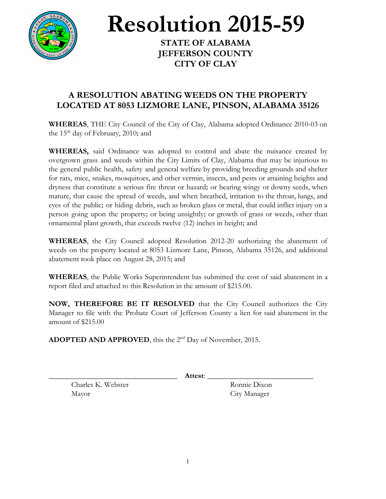

**Resolution 2015-59**

**STATE OF ALABAMA JEFFERSON COUNTY CITY OF CLAY**

## **A RESOLUTION ABATING WEEDS ON THE PROPERTY LOCATED AT 8053 LIZMORE LANE, PINSON, ALABAMA 35126**

**WHEREAS**, THE City Council of the City of Clay, Alabama adopted Ordinance 2010-03 on the 15<sup>th</sup> day of February, 2010; and

**WHEREAS,** said Ordinance was adopted to control and abate the nuisance created by overgrown grass and weeds within the City Limits of Clay, Alabama that may be injurious to the general public health, safety and general welfare by providing breeding grounds and shelter for rats, mice, snakes, mosquitoes, and other vermin, insects, and pests or attaining heights and dryness that constitute a serious fire threat or hazard; or bearing wingy or downy seeds, when mature, that cause the spread of weeds, and when breathed, irritation to the throat, lungs, and eyes of the public; or hiding debris, such as broken glass or metal, that could inflict injury on a person going upon the property; or being unsightly; or growth of grass or weeds, other than ornamental plant growth, that exceeds twelve (12) inches in height; and

**WHEREAS**, the City Council adopted Resolution 2012-20 authorizing the abatement of weeds on the property located at 8053 Lizmore Lane, Pinson, Alabama 35126, and additional abatement took place on August 28, 2015; and

**WHEREAS**, the Public Works Superintendent has submitted the cost of said abatement in a report filed and attached to this Resolution in the amount of \$215.00.

**NOW, THEREFORE BE IT RESOLVED** that the City Council authorizes the City Manager to file with the Probate Court of Jefferson County a lien for said abatement in the amount of \$215.00

**ADOPTED AND APPROVED**, this the 2<sup>nd</sup> Day of November, 2015.

\_\_\_\_\_\_\_\_\_\_\_\_\_\_\_\_\_\_\_\_\_\_\_\_\_\_\_\_\_\_\_\_\_\_ **Attest**: \_\_\_\_\_\_\_\_\_\_\_\_\_\_\_\_\_\_\_\_\_\_\_\_\_\_\_\_

Charles K. Webster Ronnie Dixon Mayor City Manager